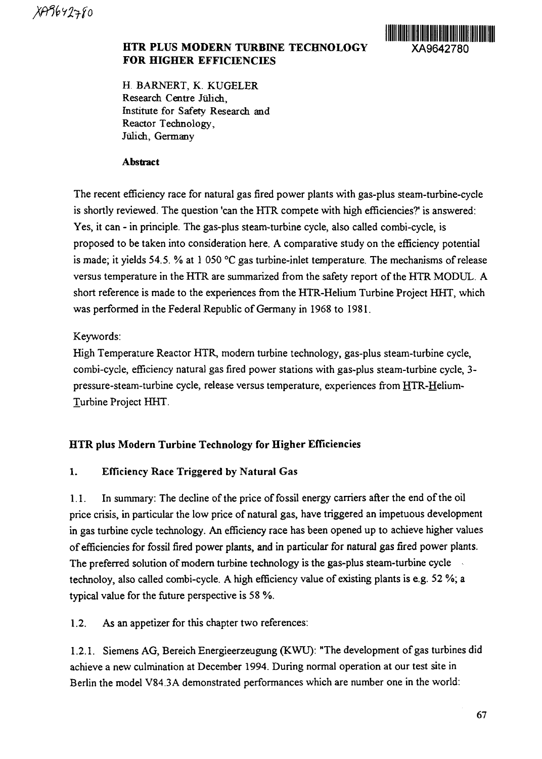

## **HTR PLUS MODERN TURBINE TECHNOLOGY XA9642780 FOR HIGHER EFFICIENCIES**

H. BARNERT, K. KUGELER Research Centre Julich, Institute for Safety Research and Reactor Technology, Julich, Germany

## **Abstract**

The recent efficiency race for natural gas fired power plants with gas-plus steam-turbine-cycle is shortly reviewed. The question 'can the HTR compete with high efficiencies?' is answered: Yes, it can - in principle. The gas-plus steam-turbine cycle, also called combi-cycle, is proposed to be taken into consideration here. A comparative study on the efficiency potential is made; it yields 54.5. % at 1 050 °C gas turbine-inlet temperature. The mechanisms of release versus temperature in the HTR are summarized from the safety report of the HTR MODUL. A short reference is made to the experiences from the HTR-Helium Turbine Project HHT, which was performed in the Federal Republic of Germany in 1968 to 1981.

# Keywords:

High Temperature Reactor HTR, modern turbine technology, gas-plus steam-turbine cycle, combi-cycle, efficiency natural gas fired power stations with gas-plus steam-turbine cycle, 3 pressure-steam-turbine cycle, release versus temperature, experiences from HTR-Helium-Turbine Project HHT.

## **HTR plus Modern Turbine Technology for Higher Efficiencies**

## **1. Efficiency Race Triggered by Natural** Gas

1.1. In summary: The decline of the price of fossil energy carriers after the end of the oil price crisis, in particular the low price of natural gas, have triggered an impetuous development in gas turbine cycle technology. An efficiency race has been opened up to achieve higher values of efficiencies for fossil fired power plants, and in particular for natural gas fired power plants. The preferred solution of modern turbine technology is the gas-plus steam-turbine cycle technoloy, also called combi-cycle. A high efficiency value of existing plants is e.g. 52 %; a typical value for the future perspective is 58 %.

1.2. As an appetizer for this chapter two references:

1.2.1. Siemens AG, Bereich Energieerzeugung (KWU): "The development of gas turbines did achieve a new culmination at December 1994. During normal operation at our test site in Berlin the model V84.3A demonstrated performances which are number one in the world: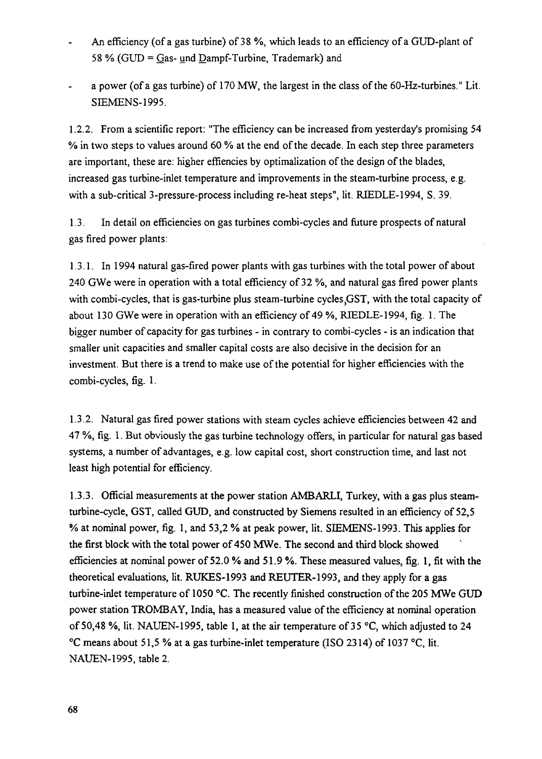- An efficiency (of a gas turbine) of 38 %, which leads to an efficiency of a GUD-plant of 58 % (GUD = Gas- und Dampf-Turbine, Trademark) and
- a power (of a gas turbine) of 170 MW, the largest in the class of the 60-Hz-turbines." Lit. SIEMENS-1995.

1.2.2. From a scientific report: "The efficiency can be increased from yesterday's promising 54 % in two steps to values around 60 % at the end of the decade. In each step three parameters are important, these are: higher effiencies by optimalization of the design of the blades, increased gas turbine-inlet temperature and improvements in the steam-turbine process, e.g. with a sub-critical 3-pressure-process including re-heat steps", lit. RIEDLE-1994, S. 39.

1.3. In detail on efficiencies on gas turbines combi-cycles and future prospects of natural gas fired power plants:

1.3.1. In 1994 natural gas-fired power plants with gas turbines with the total power of about 240 GWe were in operation with a total efficiency of 32 %, and natural gas fired power plants with combi-cycles, that is gas-turbine plus steam-turbine cycles GST, with the total capacity of about 130 GWe were in operation with an efficiency of 49 %, RIEDLE-1994, fig. 1. The bigger number of capacity for gas turbines - in contrary to combi-cycles - is an indication that smaller unit capacities and smaller capital costs are also decisive in the decision for an investment. But there is a trend to make use of the potential for higher efficiencies with the combi-cycles, fig. 1.

1.3.2. Natural gas fired power stations with steam cycles achieve efficiencies between 42 and 47 %, fig. 1. But obviously the gas turbine technology offers, in particular for natural gas based systems, a number of advantages, e.g. low capital cost, short construction time, and last not least high potential for efficiency.

1.3.3. Official measurements at the power station AMBARLI, Turkey, with a gas plus steamturbine-cycle, GST, called GUD, and constructed by Siemens resulted in an efficiency of 52,5 % at nominal power, fig. 1, and 53,2 % at peak power, lit. SIEMENS-1993. This applies for the first block with the total power of 450 MWe. The second and third block showed efficiencies at nominal power of 52.0 % and 51.9 %. These measured values, fig. 1, fit with the theoretical evaluations, lit. RUKES-1993 and REUTER-1993, and they apply for a gas turbine-inlet temperature of 1050 °C. The recently finished construction of the 205 MWe GUD power station TROMBAY, India, has a measured value of the efficiency at nominal operation of 50,48 %, lit. NAUEN-1995, table 1, at the air temperature of 35 °C, which adjusted to 24 °C means about 51,5 % at a gas turbine-inlet temperature (ISO 2314) of 1037 °C, lit. NAUEN-1995, table 2.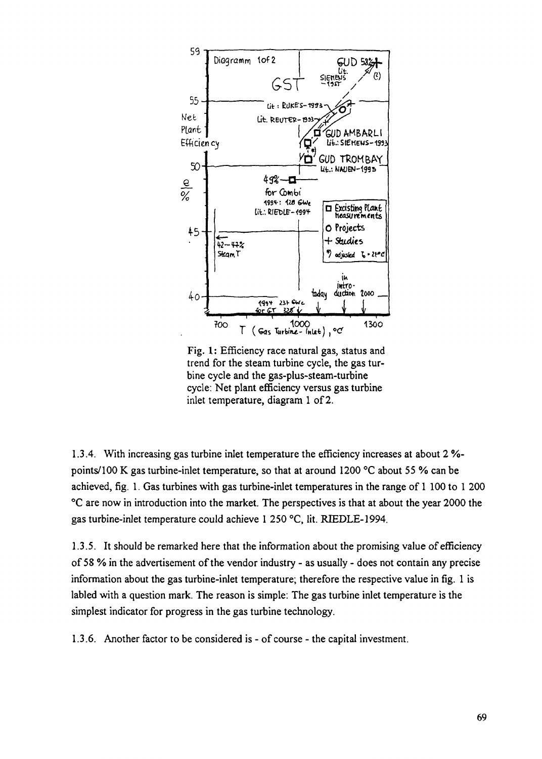

Fig. 1: Efficiency race natural gas, status and trend for the steam turbine cycle, the gas turbine cycle and the gas-plus-steam-turbine cycle: Net plant efficiency versus gas turbine inlet temperature, diagram 1 of 2.

1.3.4. With increasing gas turbine inlet temperature the efficiency increases at about 2 *%* points/100 K gas turbine-inlet temperature, so that at around 1200 °C about 55 % can be achieved, fig. 1. Gas turbines with gas turbine-inlet temperatures in the range of 1 100 to 1 200 °C are now in introduction into the market. The perspectives is that at about the year 2000 the gas turbine-inlet temperature could achieve 1 250 °C, lit. RIEDLE-1994.

1.3.5. It should be remarked here that the information about the promising value of efficiency of 58 % in the advertisement of the vendor industry - as usually - does not contain any precise information about the gas turbine-inlet temperature; therefore the respective value in fig. 1 is labled with a question mark. The reason is simple: The gas turbine inlet temperature is the simplest indicator for progress in the gas turbine technology.

1.3.6. Another factor to be considered is - of course - the capital investment.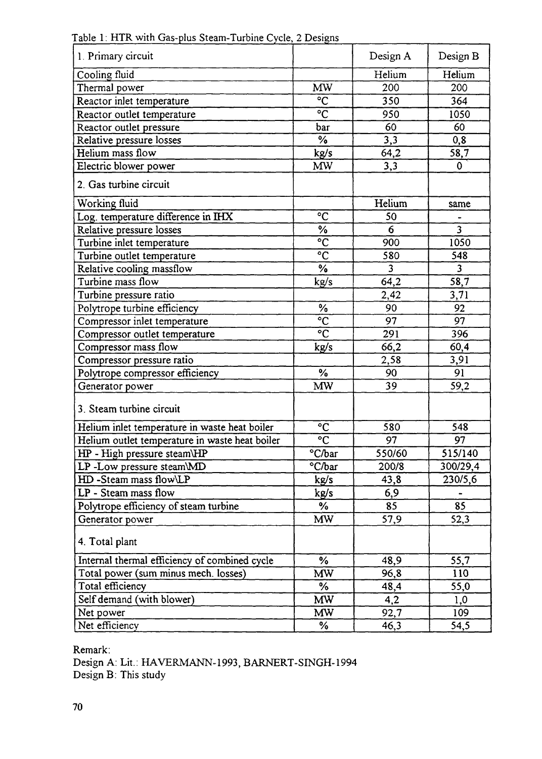| 1. Primary circuit                             |                     | Design A | Design B       |
|------------------------------------------------|---------------------|----------|----------------|
| Cooling fluid                                  |                     | Helium   | Helium         |
| Thermal power                                  | MW                  | 200      | 200            |
| Reactor inlet temperature                      | $\overline{C}$      | 350      | 364            |
| Reactor outlet temperature                     | $\overline{C}$      | 950      | 1050           |
| Reactor outlet pressure                        | bar                 | 60       | 60             |
| Relative pressure losses                       | $\frac{0}{6}$       | 3,3      | 0,8            |
| Helium mass flow                               | kg/s                | 64,2     | 58,7           |
| Electric blower power                          | <b>MW</b>           | 3,3      | $\mathbf 0$    |
| 2. Gas turbine circuit                         |                     |          |                |
| Working fluid                                  |                     | Helium   | same           |
| Log. temperature difference in IHX             | $\overline{C}$      | 50       |                |
| Relative pressure losses                       | $\frac{6}{6}$       | 6        | 3 <sup>2</sup> |
| Turbine inlet temperature                      | $\overline{C}$      | 900      | 1050           |
| Turbine outlet temperature                     | $\overline{C}$      | 580      | 548            |
| Relative cooling massflow                      | $\%$                | 3        | $\overline{3}$ |
| Turbine mass flow                              | kg/s                | 64,2     | 58,7           |
| Turbine pressure ratio                         |                     | 2,42     | 3,71           |
| Polytrope turbine efficiency                   | $\%$                | 90       | 92             |
| Compressor inlet temperature                   | $\overline{c}$      | 97       | 97             |
| Compressor outlet temperature                  | $\overline{C}$      | 291      | 396            |
| Compressor mass flow                           | kg/s                | 66,2     | 60,4           |
| Compressor pressure ratio                      |                     | 2,58     | 3,91           |
| Polytrope compressor efficiency                | $\%$                | 90       | 91             |
| Generator power                                | <b>MW</b>           | 39       | 59,2           |
| 3. Steam turbine circuit                       |                     |          |                |
| Helium inlet temperature in waste heat boiler  | $\rm ^{\circ}C$     | 580      | 548            |
| Helium outlet temperature in waste heat boiler | $\overline{c}$      | 97       | 97             |
| HP - High pressure steam\HP                    | $\overline{C/b}$ ar | 550/60   | 515/140        |
| LP-Low pressure steam\MD                       | °C/bar              | 200/8    | 300/29,4       |
| HD-Steam mass flow\LP                          | kg/s                | 43,8     | 230/5,6        |
| LP - Steam mass flow                           | kg/s                | 6,9      |                |
| Polytrope efficiency of steam turbine          | $\frac{1}{2}$       | 85       | 85             |
| Generator power                                | <b>MW</b>           | 57,9     | 52,3           |
| 4. Total plant                                 |                     |          |                |
| Internal thermal efficiency of combined cycle  | %                   | 48,9     | 55,7           |
| Total power (sum minus mech. losses)           | <b>MW</b>           | 96,8     | 110            |
| Total efficiency                               | ℅                   | 48,4     | 55,0           |
| Self demand (with blower)                      | <b>MW</b>           | 4,2      | 1,0            |
| Net power                                      | MW.                 | 92,7     | 109            |
| Net efficiency                                 | %                   | 46,3     | 54,5           |

Table 1: HTR with Gas-plus Steam-Turbine Cycle, 2 Designs

Remark:

Design A: Lit.: HAVERMANN-1993, BARNERT-SINGH-1994 Design B: This study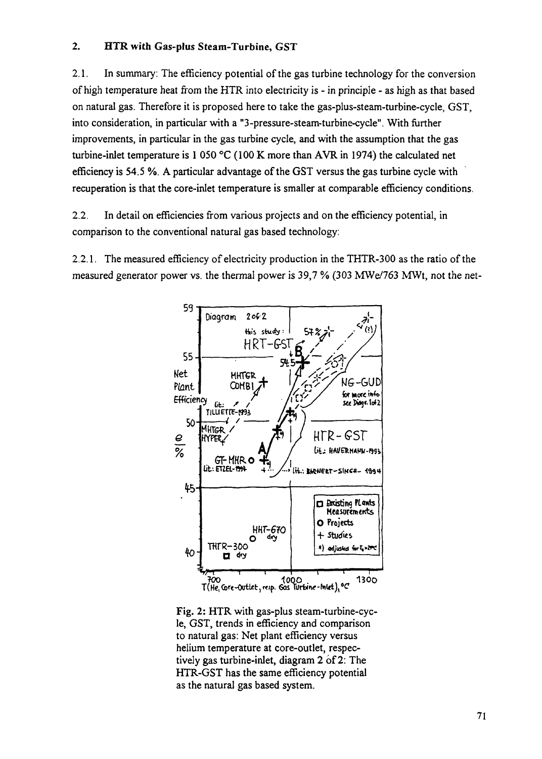## 2. **HTR with Gas-plus Steam-Turbine,** GST

2.1. In summary: The efficiency potential of the gas turbine technology for the conversion of high temperature heat from the HTR into electricity is - in principle - as high as that based on natural gas. Therefore it is proposed here to take the gas-plus-steam-turbine-cycle, GST, into consideration, in particular with a "3-pressure-steam-turbine-cycle". With further improvements, in particular in the gas turbine cycle, and with the assumption that the gas turbine-inlet temperature is 1 050 °C (100 K more than AVR in 1974) the calculated net efficiency is 54.5 %. A particular advantage of the GST versus the gas turbine cycle with recuperation is that the core-inlet temperature is smaller at comparable efficiency conditions.

2.2. In detail on efficiencies from various projects and on the efficiency potential, in comparison to the conventional natural gas based technology:

2.2.1. The measured efficiency of electricity production in the THTR-300 as the ratio of the measured generator power vs. the thermal power is 39,7 % (303 MWe/763 MWt, not the net-



Fig. 2: HTR with gas-plus steam-turbine-cycle, GST, trends in efficiency and comparison to natural gas: Net plant efficiency versus helium temperature at core-outlet, respectively gas turbine-inlet, diagram 2 of 2: The HTR-GST has the same efficiency potential as the natural gas based system.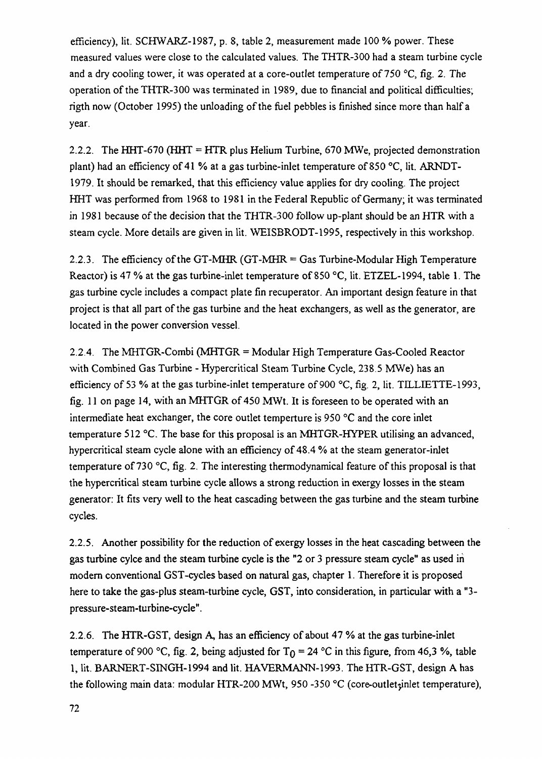efficiency), lit. SCHWARZ-1987, p. 8, table 2, measurement made 100 % power. These measured values were close to the calculated values. The THTR-300 had a steam turbine cycle and a dry cooling tower, it was operated at a core-outlet temperature of 750 °C, fig. 2. The operation of the THTR-300 was terminated in 1989, due to financial and political difficulties; rigth now (October 1995) the unloading of the fuel pebbles is finished since more than half a year.

2.2.2. The HHT-670 (HHT = HTR plus Helium Turbine, 670 MWe, projected demonstration plant) had an efficiency of 41 % at a gas turbine-inlet temperature of 850 °C, lit. ARNDT-1979. It should be remarked, that this efficiency value applies for dry cooling. The project HHT was performed from 1968 to 1981 in the Federal Republic of Germany; it was terminated in 1981 because of the decision that the THTR-300 follow up-plant should be an HTR with a steam cycle. More details are given in lit. WEISBRODT-1995, respectively in this workshop.

2.2.3. The efficiency of the GT-MHR (GT-MHR = Gas Turbine-Modular High Temperature Reactor) is 47 % at the gas turbine-inlet temperature of 850 °C, lit. ETZEL-1994, table 1. The gas turbine cycle includes a compact plate fin recuperator. An important design feature in that project is that all part of the gas turbine and the heat exchangers, as well as the generator, are located in the power conversion vessel.

2.2.4. The MHTGR-Combi (MHTGR = Modular High Temperature Gas-Cooled Reactor with Combined Gas Turbine - Hypercritical Steam Turbine Cycle, 238.5 MWe) has an efficiency of 53 % at the gas turbine-inlet temperature of 900  $\degree$ C, fig. 2, lit. TILLIETTE-1993, fig. 11 on page 14, with an MHTGR of 450 MWt. It is foreseen to be operated with an intermediate heat exchanger, the core outlet temperture is 950 °C and the core inlet temperature 512 °C. The base for this proposal is an MHTGR-HYPER utilising an advanced, hypercritical steam cycle alone with an efficiency of 48.4 % at the steam generator-inlet temperature of 730 °C, fig. 2. The interesting thermodynamical feature of this proposal is that the hypercritical steam turbine cycle allows a strong reduction in exergy losses in the steam generator: It fits very well to the heat cascading between the gas turbine and the steam turbine cycles.

2.2.5. Another possibility for the reduction of exergy losses in the heat cascading between the gas turbine cylce and the steam turbine cycle is the "2 or 3 pressure steam cycle" as used in modern conventional GST-cycles based on natural gas, chapter 1. Therefore it is proposed here to take the gas-plus steam-turbine cycle, GST, into consideration, in particular with a "3 pressure-steam-turbine-cycle".

2.2.6. The HTR-GST, design A, has an efficiency of about 47 % at the gas turbine-inlet temperature of 900 °C, fig. 2, being adjusted for  $T_{\Omega} = 24$  °C in this figure, from 46,3 %, table 1, lit. BARNERT-SINGH-1994 and lit. HAVERMANN-1993. The HTR-GST, design A has the following main data: modular HTR-200 MWt, 950-350 °C (core-outlet<sub>i</sub>inlet temperature),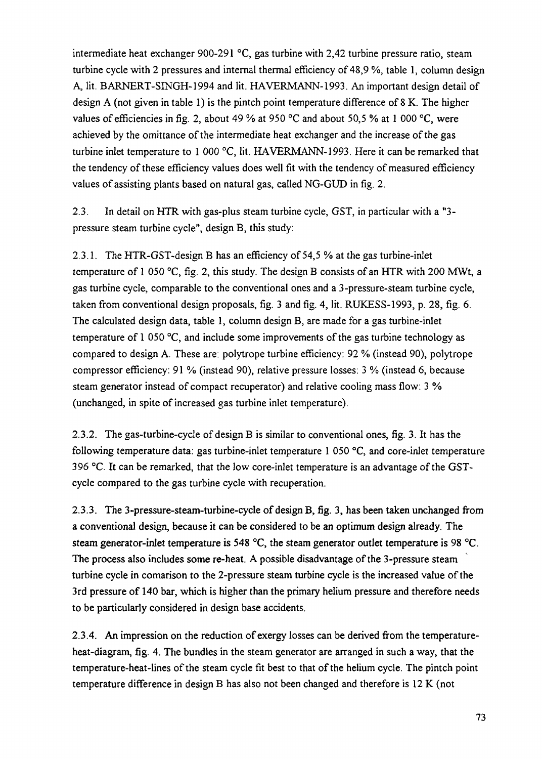intermediate heat exchanger 900-291 °C, gas turbine with 2,42 turbine pressure ratio, steam turbine cycle with 2 pressures and internal thermal efficiency of 48,9 %, table 1, column design A, lit. BARNERT-SINGH-1994 and lit. HAVERMANN-1993. An important design detail of design A (not given in table 1) is the pintch point temperature difference of 8 K. The higher values of efficiencies in fig. 2, about 49 % at 950 °C and about 50,5 % at 1 000 °C, were achieved by the omittance of the intermediate heat exchanger and the increase of the gas turbine inlet temperature to 1 000 °C, lit. HAVERMANN-1993. Here it can be remarked that the tendency of these efficiency values does well fit with the tendency of measured efficiency values of assisting plants based on natural gas, called NG-GUD in fig. 2.

2.3. In detail on HTR with gas-plus steam turbine cycle, GST, in particular with a "3 pressure steam turbine cycle", design B, this study:

2.3.1. The HTR-GST-design B has an efficiency of 54,5 % at the gas turbine-inlet temperature of 1 050 °C, fig. 2, this study. The design B consists of an HTR with 200 MWt, a gas turbine cycle, comparable to the conventional ones and a 3-pressure-steam turbine cycle, taken from conventional design proposals, fig. 3 and fig. 4, lit. RUKESS-1993, p. 28, fig. 6. The calculated design data, table 1, column design B, are made for a gas turbine-inlet temperature of 1 050  $\degree$ C, and include some improvements of the gas turbine technology as compared to design A. These are: polytrope turbine efficiency: 92 % (instead 90), polytrope compressor efficiency: 91 % (instead 90), relative pressure losses: 3 % (instead 6, because steam generator instead of compact recuperator) and relative cooling mass flow: 3 % (unchanged, in spite of increased gas turbine inlet temperature).

2.3.2. The gas-turbine-cycle of design B is similar to conventional ones, fig. 3. It has the following temperature data: gas turbine-inlet temperature 1 050 °C, and core-inlet temperature 396 °C. It can be remarked, that the low core-inlet temperature is an advantage of the GSTcycle compared to the gas turbine cycle with recuperation.

2.3.3. The 3-pressure-steam-turbine-cycle of design B, fig. 3, has been taken unchanged from a conventional design, because it can be considered to be an optimum design already. The steam generator-inlet temperature is 548 °C, the steam generator outlet temperature is 98 °C. The process also includes some re-heat. A possible disadvantage of the 3-pressure steam turbine cycle in comarison to the 2-pressure steam turbine cycle is the increased value of the 3rd pressure of 140 bar, which is higher than the primary helium pressure and therefore needs to be particularly considered in design base accidents.

2.3.4. An impression on the reduction of exergy losses can be derived from the temperatureheat-diagram, fig. 4. The bundles in the steam generator are arranged in such a way, that the temperature-heat-lines of the steam cycle fit best to that of the helium cycle. The pintch point temperature difference in design B has also not been changed and therefore is 12 K (not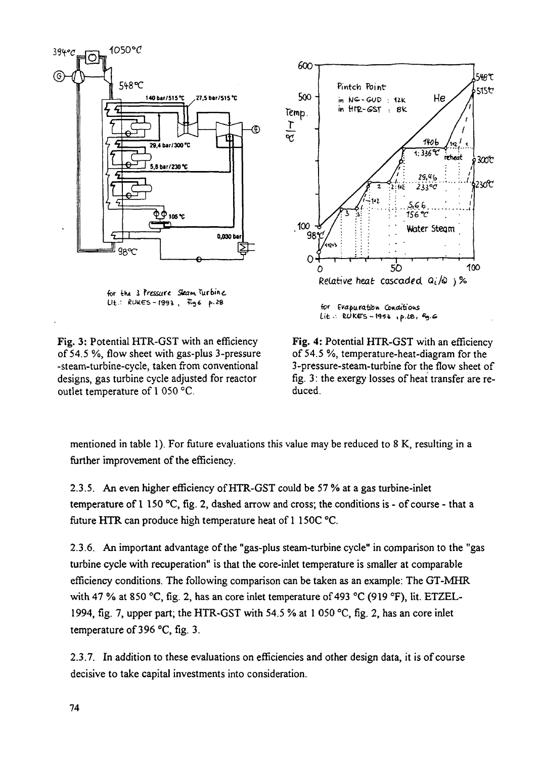

for the 3 Pressure Steam Turbine  $L1t$ .: RUKES-1993,  $F_96$  p.28

Fig. 3: Potential HTR-GST with an efficiency of 54.5 %, flow sheet with gas-plus 3-pressure -steam-turbine-cycle, taken from conventional designs, gas turbine cycle adjusted for reactor outlet temperature of 1 050 °C.



**Fig.** 4: Potential HTR-GST with an efficiency of 54.5 %, temperature-heat-diagram for the 3-pressure-steam-turbine for the flow sheet of fig. 3: the exergy losses of heat transfer are reduced.

mentioned in table 1). For future evaluations this value may be reduced to 8 K, resulting in a further improvement of the efficiency.

2.3.5. An even higher efficiency of HTR-GST could be 57 % at a gas turbine-inlet temperature of 1 150 °C, fig. 2, dashed arrow and cross; the conditions is - of course - that a future HTR can produce high temperature heat of 1 150C °C.

2.3.6. An important advantage of the "gas-plus steam-turbine cycle" in comparison to the "gas turbine cycle with recuperation" is that the core-inlet temperature is smaller at comparable efficiency conditions. The following comparison can be taken as an example: The GT-MHR with 47 % at 850 °C, fig. 2, has an core inlet temperature of 493 °C (919 °F), lit. ETZEL-1994, fig. 7, upper part; the HTR-GST with 54.5 % at 1 050 °C, fig. 2, has an core inlet temperature of 396 °C, fig. 3.

2.3.7. In addition to these evaluations on efficiencies and other design data, it is of course decisive to take capital investments into consideration.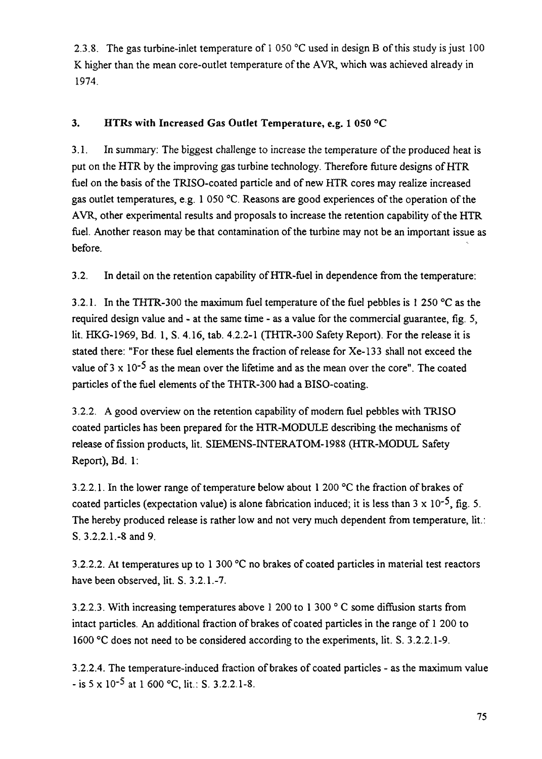2.3.8. The gas turbine-inlet temperature of 1 050 °C used in design B of this study is just 100 K higher than the mean core-outlet temperature of the AVR, which was achieved already in 1974

# 3. HTRs with Increased Gas Outlet Temperature, e.g. 1 050 °C

3.1. In summary: The biggest challenge to increase the temperature of the produced heat is put on the HTR by the improving gas turbine technology. Therefore future designs of HTR fuel on the basis of the TRISO-coated particle and of new HTR cores may realize increased gas outlet temperatures, e.g. 1 050 °C. Reasons are good experiences of the operation of the AVR, other experimental results and proposals to increase the retention capability of the HTR fuel. Another reason may be that contamination of the turbine may not be an important issue as before.

3.2. In detail on the retention capability of HTR-fuel in dependence from the temperature:

3.2.1. In the THTR-300 the maximum fuel temperature of the fuel pebbles is 1 250 °C as the required design value and - at the same time - as a value for the commercial guarantee, fig. 5, lit. HKG-1969, Bd. 1, S. 4.16, tab. 4.2.2-1 (THTR-300 Safety Report). For the release it is stated there: "For these fuel elements the fraction of release for Xe-133 shall not exceed the value of  $3 \times 10^{-5}$  as the mean over the lifetime and as the mean over the core". The coated particles of the fuel elements of the THTR-300 had a BISO-coating.

3.2.2. A good overview on the retention capability of modern fuel pebbles with TRISO coated particles has been prepared for the HTR-MODULE describing the mechanisms of release of fission products, lit. SIEMENS-INTERATOM-1988 (HTR-MODUL Safety Report), Bd. 1:

3.2.2.1. In the lower range of temperature below about 1 200 °C the fraction of brakes of coated particles (expectation value) is alone fabrication induced; it is less than  $3 \times 10^{-5}$ , fig. 5. The hereby produced release is rather low and not very much dependent from temperature, lit.: S. 3.2.2.1.-8 and 9.

3.2.2.2. At temperatures up to 1 300 °C no brakes of coated particles in material test reactors have been observed, lit. S. 3.2.1.-7.

3.2.2.3. With increasing temperatures above 1 200 to 1 300 ° C some diffusion starts from intact particles. An additional fraction of brakes of coated particles in the range of 1 200 to 1600 °C does not need to be considered according to the experiments, lit. S. 3.2.2.1-9.

3.2.2.4. The temperature-induced fraction of brakes of coated particles - as the maximum value - is  $5 \times 10^{-5}$  at 1 600 °C, lit.: S. 3.2.2.1-8.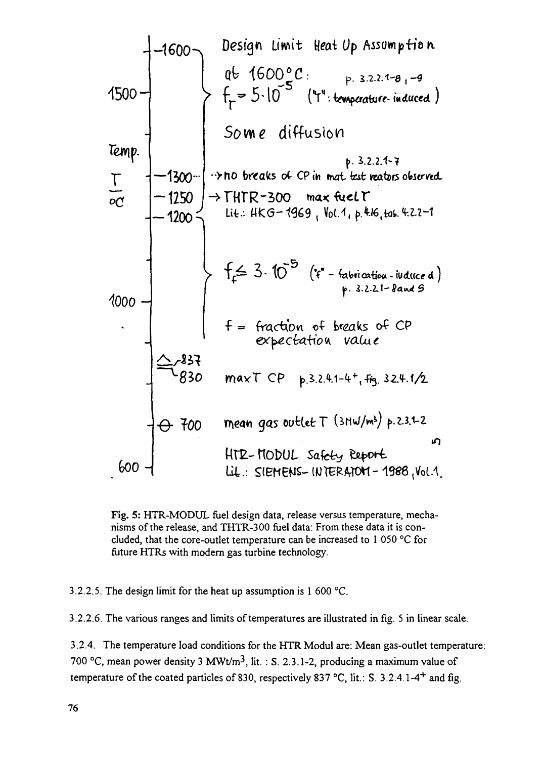**1500-** T **—1500- -1250 — 120O<** looo-**Goo - -1600 -\ ign Li wit Heai** *Op* **0** *Some* diffusion **•>ho breads o(- CPin «r»ai fesfc** U4.: *e-induced)* (V" f = fract^bvi o^ k<2ak.s o^ *CP* mean gas oufcUfcT *btM/\*\*) t-iu-z* L-KOt>UL Safety



3.2.2.5. The design limit for the heat up assumption is 1 600 °C.

3.2.2.6. The various ranges and limits of temperatures are illustrated in fig. 5 in linear scale.

3.2.4. The temperature load conditions for the HTR Modul are: Mean gas-outlet temperature: 700 °C, mean power density 3 MWt/m<sup>3</sup>, lit. : S. 2.3.1-2, producing a maximum value of temperature of the coated particles of 830, respectively 837 °C, lit.: S. 3.2.4.1-4<sup>+</sup> and fig.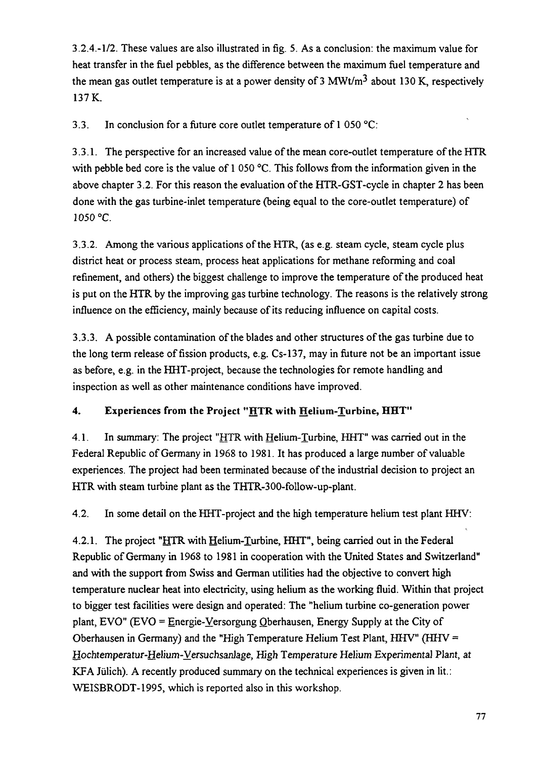3.2.4.-1/2. These values are also illustrated in fig. 5. As a conclusion: the maximum value for heat transfer in the fuel pebbles, as the difference between the maximum fuel temperature and the mean gas outlet temperature is at a power density of 3 MWt/m<sup>3</sup> about 130 K, respectively 137 K.

3.3. In conclusion for a future core outlet temperature of 1 050 °C:

3.3.1. The perspective for an increased value of the mean core-outlet temperature of the HTR with pebble bed core is the value of 1 050 °C. This follows from the information given in the above chapter 3.2. For this reason the evaluation of the HTR-GST-cycle in chapter 2 has been done with the gas turbine-inlet temperature (being equal to the core-outlet temperature) of 1050 °C.

3.3.2. Among the various applications of the HTR, (as e.g. steam cycle, steam cycle plus district heat or process steam, process heat applications for methane reforming and coal refinement, and others) the biggest challenge to improve the temperature of the produced heat is put on the HTR by the improving gas turbine technology. The reasons is the relatively strong influence on the efficiency, mainly because of its reducing influence on capital costs.

3.3.3. A possible contamination of the blades and other structures of the gas turbine due to the long term release of fission products, e.g. Cs-137, may in future not be an important issue as before, e.g. in the HHT-project, because the technologies for remote handling and inspection as well as other maintenance conditions have improved.

# 4. Experiences from the Project "HTR with Helium-Turbine, HHT"

4.1. In summary: The project "HTR with Helium-Turbine, HHT" was carried out in the Federal Republic of Germany in 1968 to 1981. It has produced a large number of valuable experiences. The project had been terminated because of the industrial decision to project an HTR with steam turbine plant as the THTR-300-follow-up-plant.

4.2. In some detail on the HHT-project and the high temperature helium test plant HHV:

4.2.1. The project "HTR with Helium-Turbine, HHT", being carried out in the Federal Republic of Germany in 1968 to 1981 in cooperation with the United States and Switzerland" and with the support from Swiss and German utilities had the objective to convert high temperature nuclear heat into electricity, using helium as the working fluid. Within that project to bigger test facilities were design and operated: The "helium turbine co-generation power plant, EVO" (EVO = Energie-Versorgung Oberhausen, Energy Supply at the City of Oberhausen in Germany) and the "High Temperature Helium Test Plant, HHV" (HHV = Hochtemperatur-Helium-Versuchsanlage, High Temperature Helium Experimental Plant, at KFA Jülich). A recently produced summary on the technical experiences is given in lit.: WEISBRODT-1995, which is reported also in this workshop.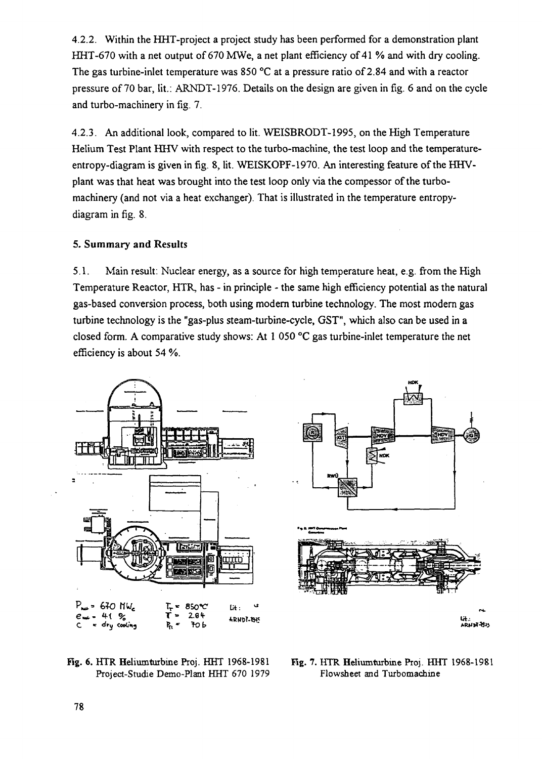4.2.2. Within the HHT-project a project study has been performed for a demonstration plant HHT-670 with a net output of 670 MWe, a net plant efficiency of 41 % and with dry cooling. The gas turbine-inlet temperature was 850 °C at a pressure ratio of 2.84 and with a reactor pressure of 70 bar, lit.: ARNDT-1976. Details on the design are given in fig. 6 and on the cycle and turbo-machinery in fig. 7.

4.2.3. An additional look, compared to lit. WEISBRODT-1995, on the High Temperature Helium Test Plant HHV with respect to the turbo-machine, the test loop and the temperatureentropy-diagram is given in fig. 8, lit. WEISKOPF-1970. An interesting feature of the HHVplant was that heat was brought into the test loop only via the compessor of the turbomachinery (and not via a heat exchanger). That is illustrated in the temperature entropydiagram in fig. 8.

## 5. Summary and Results

5.1. Main result: Nuclear energy, as a source for high temperature heat, e.g. from the High Temperature Reactor, HTR, has - in principle - the same high efficiency potential as the natural gas-based conversion process, both using modem turbine technology. The most modem gas turbine technology is the "gas-plus steam-turbine-cycle, GST", which also can be used in a closed form. A comparative study shows: At 1 050 °C gas turbine-inlet temperature the net efficiency is about 54 %.





Rg. 6. HTR Heliumturbine Proj. HHT 1968-1981 Project-Studie Demo-Plant HHT 670 1979

Fig. 7. HTR Heliumturbine Pioj. HHT 1968-1981 Flowsheet and Turbomachiae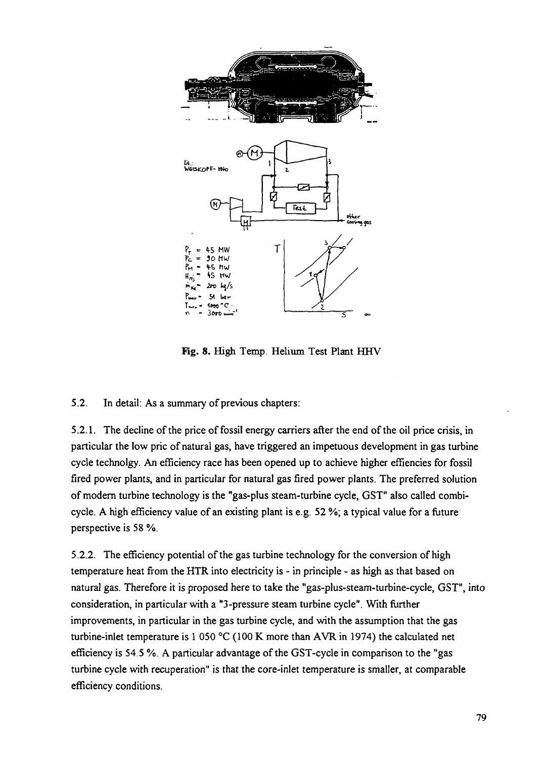

Rg. 8. High Temp. Helium Test Plant HHV

5.2. In detail: As a summary of previous chapters:

5.2.1. The decline of the price of fossil energy carriers after the end of the oil price crisis, in particular the low pric of natural gas, have triggered an impetuous development in gas turbine cycle technolgy. An efficiency race has been opened up to achieve higher effiencies for fossil fired power plants, and in particular for natural gas fired power plants. The preferred solution of modern turbine technology is the "gas-plus steam-turbine cycle, GST" also called combicycle. A high efficiency value of an existing plant is e.g. 52 %; a typical value for a future perspective is 58 %.

5.2.2. The efficiency potential of the gas turbine technology for the conversion of high temperature heat from the HTR into electricity is - in principle - as high as that based on natural gas. Therefore it is proposed here to take the "gas-plus-steam-turbine-cycle, GST", into consideration, in particular with a "3-pressure steam turbine cycle". With further improvements, in particular in the gas turbine cycle, and with the assumption that the gas turbine-inlet temperature is 1 050 °C (100 K more than AVR in 1974) the calculated net efficiency is 54.5 %. A particular advantage of the GST-cycle in comparison to the "gas turbine cycle with recuperation" is that the core-inlet temperature is smaller, at comparable efficiency conditions.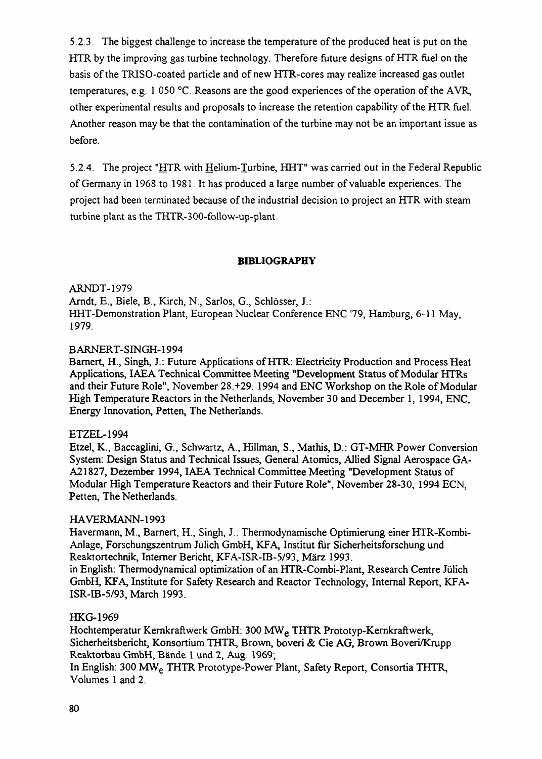5.2.3. The biggest challenge to increase the temperature of the produced heat is put on the HTR by the improving gas turbine technology. Therefore future designs of HTR fuel on the basis of the TRISO-coated particle and of new HTR-cores may realize increased gas outlet temperatures, e.g. 1 050 °C. Reasons are the good experiences of the operation of the AVR, other experimental results and proposals to increase the retention capability of the HTR fuel. Another reason may be that the contamination of the turbine may not be an important issue as before.

5.2.4. The project "HTR with Helium-Turbine, HHT" was carried out in the Federal Republic of Germany in 1968 to 1981. It has produced a large number of valuable experiences. The project had been terminated because of the industrial decision to project an HTR with steam turbine plant as the THTR-300-follow-up-plant.

### **BIBLIOGRAPHY**

ARNDT-1979 Arndt, E., Biele, B., Kirch, N., Sarlos, G., Schlösser, J.: HHT-Demonstration Plant, European Nuclear Conference ENC 79, Hamburg, 6-11 May, 1979.

#### B ARNERT-SINGH-1994

Bamert, H., Singh, J.: Future Applications of HTR: Electricity Production and Process Heat Applications, IAEA Technical Committee Meeting "Development Status of Modular HTRs and their Future Role", November 28.+29. 1994 and ENC Workshop on the Role of Modular High Temperature Reactors in the Netherlands, November 30 and December 1, 1994, ENC, Energy Innovation, Petten, The Netherlands.

## ETZEL-1994

Etzel, K., Baccaglini, G., Schwartz, A., Hillman, S., Mathis, D.: GT-MHR Power Conversion System: Design Status and Technical Issues, General Atomics, Allied Signal Aerospace GA-A21827, Dezember 1994, IAEA Technical Committee Meeting "Development Status of Modular High Temperature Reactors and their Future Role", November 28-30, 1994 ECN, Petten, The Netherlands.

#### HAVERMANN-1993

Havermann, M., Barnert, H., Singh, J.: Thermodynamische Optimierung einer HTR-Kombi-Anlage, Forschungszentrum Jiilich GmbH, KFA, Institut **fur** Sicherheitsforschung und Reaktortechnik, Interner Bericht, KFA-ISR-IB-5/93, Marz 1993.

in English: Thermodynamical optimization of an HTR-Combi-Plant, Research Centre Jiilich GmbH, KFA, Institute for Safety Research and Reactor Technology, Internal Report, KFA-ISR-IB-5/93, March 1993.

## HKG-1969

Hochtemperatur Kernkraftwerk GmbH: 300 MW<sub>e</sub> THTR Prototyp-Kernkraftwerk, Sicherheitsbericht, Konsortium THTR, Brown, boveri & Cie AG, Brown Boveri/Krupp Reaktorbau GmbH, Bande 1 und 2, Aug. 1969;

In English: 300 MWe THTR Prototype-Power Plant, Safety Report, Consortia THTR, Volumes 1 and 2.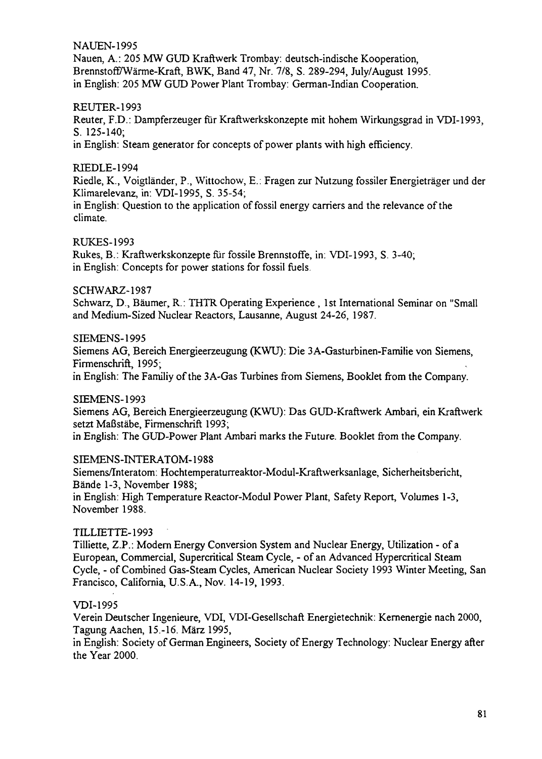**NAUEN-1995** 

Ñauen, A. : 205 MW GUD Kraftwerk Trombay: deutsch-indische Kooperation, Brennstoff/Wärme-Kraft, BWK, Band 47, Nr. 7/8, S. 289-294, July/August 1995. in English: 205 MW GUD Power Plant Trombay: German-Indian Cooperation.

### REUTER-1993

Reuter, F.D.: Dampferzeuger fur Kraftwerkskonzepte mit hohem Wirkungsgrad in VDI-1993, S. 125-140;

in English: Steam generator for concepts of power plants with high efficiency.

### RIEDLE-1994

Riedle, K., Voigtländer, P., Wittochow, E.: Fragen zur Nutzung fossiler Energieträger und der Klimarelevanz, in: VDI-1995, S. 35-54;

in English: Question to the application of fossil energy carriers and the relevance of the climate.

### RUKES-1993

Rukes, B.: Kraftwerkskonzepte für fossile Brennstoffe, in: VDI-1993, S. 3-40; in English: Concepts for power stations for fossil fuels.

### SCHWARZ-1987

Schwarz, D., Bäumer, R.: THTR Operating Experience , 1st International Seminar on "Small and Medium-Sized Nuclear Reactors, Lausanne, August 24-26, 1987.

### SIEMENS-1995

Siemens AG, Bereich Energieerzeugung (KWU): Die 3A-Gasturbinen-Familie von Siemens, Firmenschrift, 1995;

in English: The Familiy of the 3A-Gas Turbines from Siemens, Booklet from the Company.

SIEMENS-1993

Siemens AG, Bereich Energieerzeugung (KWU): Das GUD-Kraftwerk Ambari, ein Kraftwerk setzt Maßstäbe, Firmenschrift 1993;

in English: The GUD-Power Plant Ambari marks the Future. Booklet from the Company.

#### SIEMENS-INTERATOM-1988

Siemens/Interatom: Hochtemperaturreaktor-Modul-Kraftwerksanlage, Sicherheitsbericht, Bände 1-3, November 1988;

in English: High Temperature Reactor-Modul Power Plant, Safety Report, Volumes 1-3, November 1988.

## TILLŒTTE-1993

Tilliette, Z.P.: Modern Energy Conversion System and Nuclear Energy, Utilization - of a European, Commercial, Supercritical Steam Cycle, - of an Advanced Hypercritical Steam Cycle, - of Combined Gas-Steam Cycles, American Nuclear Society 1993 Winter Meeting, San Francisco, California, U.S.A., Nov. 14-19, 1993.

## VDI-1995

Verein Deutscher Ingenieure, VDI, VDI-Gesellschaft Energietechnik: Kernenergie nach 2000, Tagung Aachen, 15.-16. März 1995,

in English: Society of German Engineers, Society of Energy Technology: Nuclear Energy after the Year 2000.